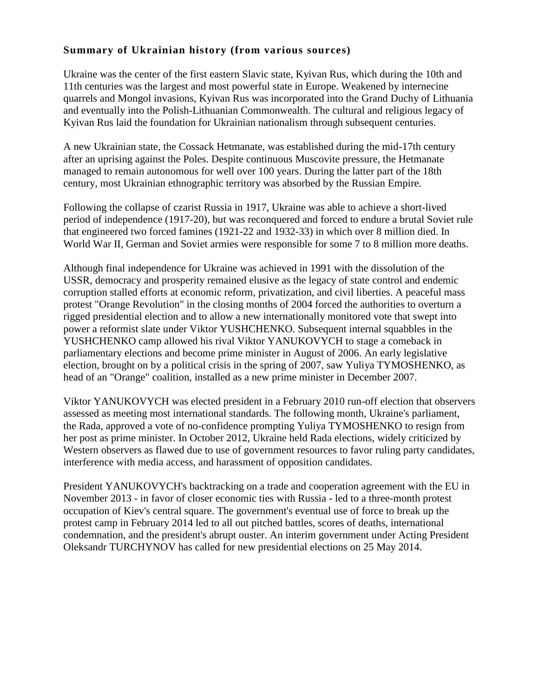## **Summary of Ukrainian history (from various sources)**

Ukraine was the center of the first eastern Slavic state, Kyivan Rus, which during the 10th and 11th centuries was the largest and most powerful state in Europe. Weakened by internecine quarrels and Mongol invasions, Kyivan Rus was incorporated into the Grand Duchy of Lithuania and eventually into the Polish-Lithuanian Commonwealth. The cultural and religious legacy of Kyivan Rus laid the foundation for Ukrainian nationalism through subsequent centuries.

A new Ukrainian state, the Cossack Hetmanate, was established during the mid-17th century after an uprising against the Poles. Despite continuous Muscovite pressure, the Hetmanate managed to remain autonomous for well over 100 years. During the latter part of the 18th century, most Ukrainian ethnographic territory was absorbed by the Russian Empire.

Following the collapse of czarist Russia in 1917, Ukraine was able to achieve a short-lived period of independence (1917-20), but was reconquered and forced to endure a brutal Soviet rule that engineered two forced famines (1921-22 and 1932-33) in which over 8 million died. In World War II, German and Soviet armies were responsible for some 7 to 8 million more deaths.

Although final independence for Ukraine was achieved in 1991 with the dissolution of the USSR, democracy and prosperity remained elusive as the legacy of state control and endemic corruption stalled efforts at economic reform, privatization, and civil liberties. A peaceful mass protest "Orange Revolution" in the closing months of 2004 forced the authorities to overturn a rigged presidential election and to allow a new internationally monitored vote that swept into power a reformist slate under Viktor YUSHCHENKO. Subsequent internal squabbles in the YUSHCHENKO camp allowed his rival Viktor YANUKOVYCH to stage a comeback in parliamentary elections and become prime minister in August of 2006. An early legislative election, brought on by a political crisis in the spring of 2007, saw Yuliya TYMOSHENKO, as head of an "Orange" coalition, installed as a new prime minister in December 2007.

Viktor YANUKOVYCH was elected president in a February 2010 run-off election that observers assessed as meeting most international standards. The following month, Ukraine's parliament, the Rada, approved a vote of no-confidence prompting Yuliya TYMOSHENKO to resign from her post as prime minister. In October 2012, Ukraine held Rada elections, widely criticized by Western observers as flawed due to use of government resources to favor ruling party candidates, interference with media access, and harassment of opposition candidates.

President YANUKOVYCH's backtracking on a trade and cooperation agreement with the EU in November 2013 - in favor of closer economic ties with Russia - led to a three-month protest occupation of Kiev's central square. The government's eventual use of force to break up the protest camp in February 2014 led to all out pitched battles, scores of deaths, international condemnation, and the president's abrupt ouster. An interim government under Acting President Oleksandr TURCHYNOV has called for new presidential elections on 25 May 2014.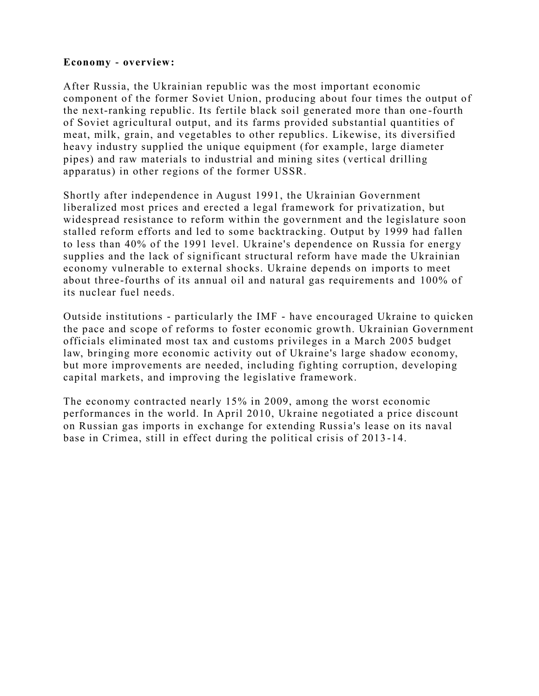#### **[Economy -](https://www.cia.gov/library/publications/the-world-factbook/docs/notesanddefs.html?fieldkey=2116&alphaletter=E&term=Economy%20-%20overview) overview:**

After Russia, the Ukrainian republic was the most important economic component of the former Soviet Union, producing about four times the output of the next-ranking republic. Its fertile black soil generated more than one -fourth of Soviet agricultural output, and its farms provided substantial quantities of meat, milk, grain, and vegetables to other republics. Likewise, its diversified heavy industry supplied the unique equipment (for example, large diameter pipes) and raw materials to industrial and mining sites (vertical drilling apparatus) in other regions of the former USSR.

Shortly after independence in August 1991, the Ukrainian Government liberalized most prices and erected a legal framework for privatization, but widespread resistance to reform within the government and the legislature soon stalled reform efforts and led to some backtracking. Output by 1999 had fallen to less than 40% of the 1991 level. Ukraine's dependence on Russia for energy supplies and the lack of significant structural reform have made the Ukrainian economy vulnerable to external shocks. Ukraine depends on imports to meet about three-fourths of its annual oil and natural gas requirements and 100% of its nuclear fuel needs.

Outside institutions - particularly the IMF - have encouraged Ukraine to quicken the pace and scope of reforms to foster economic growth. Ukrainian Government officials eliminated most tax and customs privileges in a March 2005 budget law, bringing more economic activity out of Ukraine's large shadow economy, but more improvements are needed, including fighting corruption, developing capital markets, and improving the legislative framework.

The economy contracted nearly 15% in 2009, among the worst economic performances in the world. In April 2010, Ukraine negotiated a price discount on Russian gas imports in exchange for extending Russia's lease on its naval base in Crimea, still in effect during the political crisis of 2013 -14.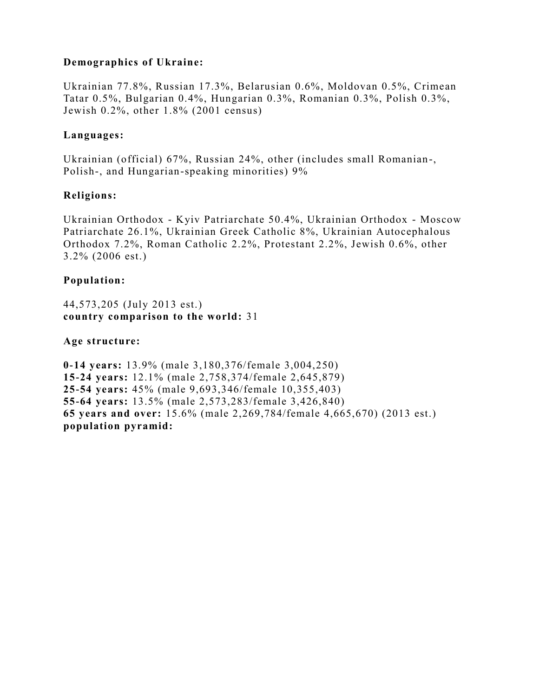# **Demographics of Ukraine:**

Ukrainian 77.8%, Russian 17.3%, Belarusian 0.6%, Moldovan 0.5%, Crimean Tatar 0.5%, Bulgarian 0.4%, Hungarian 0.3%, Romanian 0.3%, Polish 0.3%, Jewish 0.2%, other 1.8% (2001 census)

#### **[Languages:](https://www.cia.gov/library/publications/the-world-factbook/docs/notesanddefs.html?fieldkey=2098&alphaletter=L&term=Languages)**

Ukrainian (official) 67%, Russian 24%, other (includes small Romanian-, Polish-, and Hungarian-speaking minorities) 9%

## **[Religions:](https://www.cia.gov/library/publications/the-world-factbook/docs/notesanddefs.html?fieldkey=2122&alphaletter=R&term=Religions)**

Ukrainian Orthodox - Kyiv Patriarchate 50.4%, Ukrainian Orthodox - Moscow Patriarchate 26.1%, Ukrainian Greek Catholic 8%, Ukrainian Autocephalous Orthodox 7.2%, Roman Catholic 2.2%, Protestant 2.2%, Jewish 0.6%, other 3.2% (2006 est.)

# **[Population:](https://www.cia.gov/library/publications/the-world-factbook/docs/notesanddefs.html?fieldkey=2119&alphaletter=P&term=Population)**

44,573,205 (July 2013 est.) **country comparison to the world:** [31](https://www.cia.gov/library/publications/the-world-factbook/rankorder/2119rank.html?countryname=Ukraine&countrycode=up®ionCode=eur&rank=31#up)

## **[Age structure:](https://www.cia.gov/library/publications/the-world-factbook/docs/notesanddefs.html?fieldkey=2010&alphaletter=A&term=Age%20structure)**

**0-14 years:** 13.9% (male 3,180,376/female 3,004,250) **15-24 years:** 12.1% (male 2,758,374/female 2,645,879) **25-54 years:** 45% (male 9,693,346/female 10,355,403) **55-64 years:** 13.5% (male 2,573,283/female 3,426,840) **65 years and over:** 15.6% (male 2,269,784/female 4,665,670) (2013 est.) **population pyramid:**